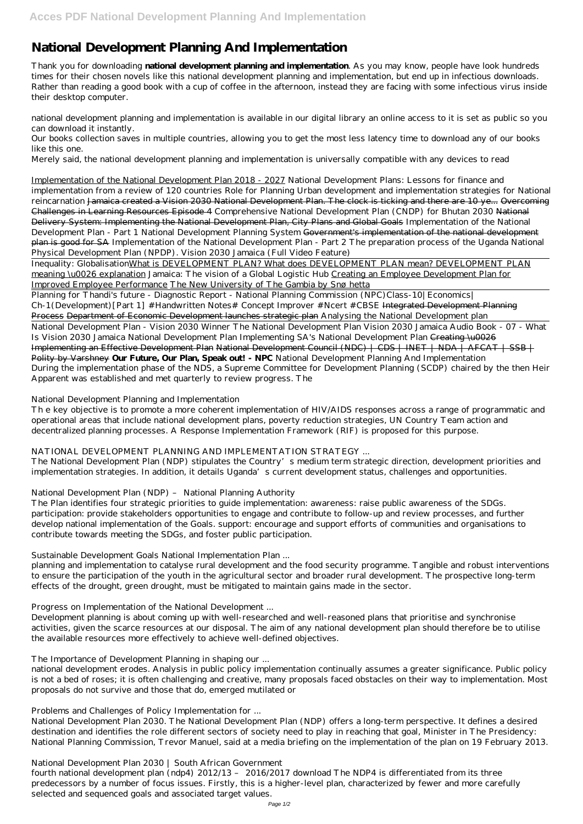# **National Development Planning And Implementation**

Thank you for downloading **national development planning and implementation**. As you may know, people have look hundreds times for their chosen novels like this national development planning and implementation, but end up in infectious downloads. Rather than reading a good book with a cup of coffee in the afternoon, instead they are facing with some infectious virus inside their desktop computer.

national development planning and implementation is available in our digital library an online access to it is set as public so you can download it instantly.

Our books collection saves in multiple countries, allowing you to get the most less latency time to download any of our books like this one.

Merely said, the national development planning and implementation is universally compatible with any devices to read

Inequality: GlobalisationWhat is DEVELOPMENT PLAN? What does DEVELOPMENT PLAN mean? DEVELOPMENT PLAN meaning \u0026 explanation *Jamaica: The vision of a Global Logistic Hub* Creating an Employee Development Plan for Improved Employee Performance The New University of The Gambia by Snøhetta

Implementation of the National Development Plan 2018 - 2027 *National Development Plans: Lessons for finance and implementation from a review of 120 countries* Role for Planning Urban development and implementation strategies for National reincarnation Jamaica created a Vision 2030 National Development Plan. The clock is ticking and there are 10 ye... Overcoming Challenges in Learning Resources Episode 4 *Comprehensive National Development Plan (CNDP) for Bhutan 2030* National Delivery System: Implementing the National Development Plan, City Plans and Global Goals Implementation of the National Development Plan - Part 1 National Development Planning System Government's implementation of the national development plan is good for SA Implementation of the National Development Plan - Part 2 *The preparation process of the Uganda National Physical Development Plan (NPDP). Vision 2030 Jamaica (Full Video Feature)*

Planning for Thandi's future - Diagnostic Report - National Planning Commission (NPC)*Class-10|Economics| Ch-1(Development)[Part 1] #Handwritten Notes# Concept Improver #Ncert #CBSE* Integrated Development Planning Process Department of Economic Development launches strategic plan *Analysing the National Development plan*

National Development Plan - Vision 2030 Winner The National Development Plan *Vision 2030 Jamaica Audio Book - 07 - What Is Vision 2030 Jamaica National Development Plan* Implementing SA's National Development Plan Creating \u0026 Implementing an Effective Development Plan National Development Council (NDC) | CDS | INET | NDA | AFCAT | SSB | Polity by Varshney **Our Future, Our Plan, Speak out! - NPC** National Development Planning And Implementation During the implementation phase of the NDS, a Supreme Committee for Development Planning (SCDP) chaired by the then Heir Apparent was established and met quarterly to review progress. The

National Development Planning and Implementation

Th e key objective is to promote a more coherent implementation of HIV/AIDS responses across a range of programmatic and operational areas that include national development plans, poverty reduction strategies, UN Country Team action and decentralized planning processes. A Response Implementation Framework (RIF) is proposed for this purpose.

# NATIONAL DEVELOPMENT PLANNING AND IMPLEMENTATION STRATEGY ...

The National Development Plan (NDP) stipulates the Country's medium term strategic direction, development priorities and implementation strategies. In addition, it details Uganda's current development status, challenges and opportunities.

# National Development Plan (NDP) – National Planning Authority

The Plan identifies four strategic priorities to guide implementation: awareness: raise public awareness of the SDGs. participation: provide stakeholders opportunities to engage and contribute to follow-up and review processes, and further develop national implementation of the Goals. support: encourage and support efforts of communities and organisations to contribute towards meeting the SDGs, and foster public participation.

Sustainable Development Goals National Implementation Plan ...

planning and implementation to catalyse rural development and the food security programme. Tangible and robust interventions to ensure the participation of the youth in the agricultural sector and broader rural development. The prospective long-term effects of the drought, green drought, must be mitigated to maintain gains made in the sector.

Progress on Implementation of the National Development ...

Development planning is about coming up with well-researched and well-reasoned plans that prioritise and synchronise

activities, given the scarce resources at our disposal. The aim of any national development plan should therefore be to utilise the available resources more effectively to achieve well-defined objectives.

The Importance of Development Planning in shaping our ...

national development erodes. Analysis in public policy implementation continually assumes a greater significance. Public policy is not a bed of roses; it is often challenging and creative, many proposals faced obstacles on their way to implementation. Most proposals do not survive and those that do, emerged mutilated or

Problems and Challenges of Policy Implementation for ...

National Development Plan 2030. The National Development Plan (NDP) offers a long-term perspective. It defines a desired destination and identifies the role different sectors of society need to play in reaching that goal, Minister in The Presidency: National Planning Commission, Trevor Manuel, said at a media briefing on the implementation of the plan on 19 February 2013.

National Development Plan 2030 | South African Government

fourth national development plan (ndp4) 2012/13 – 2016/2017 download The NDP4 is differentiated from its three predecessors by a number of focus issues. Firstly, this is a higher-level plan, characterized by fewer and more carefully selected and sequenced goals and associated target values.